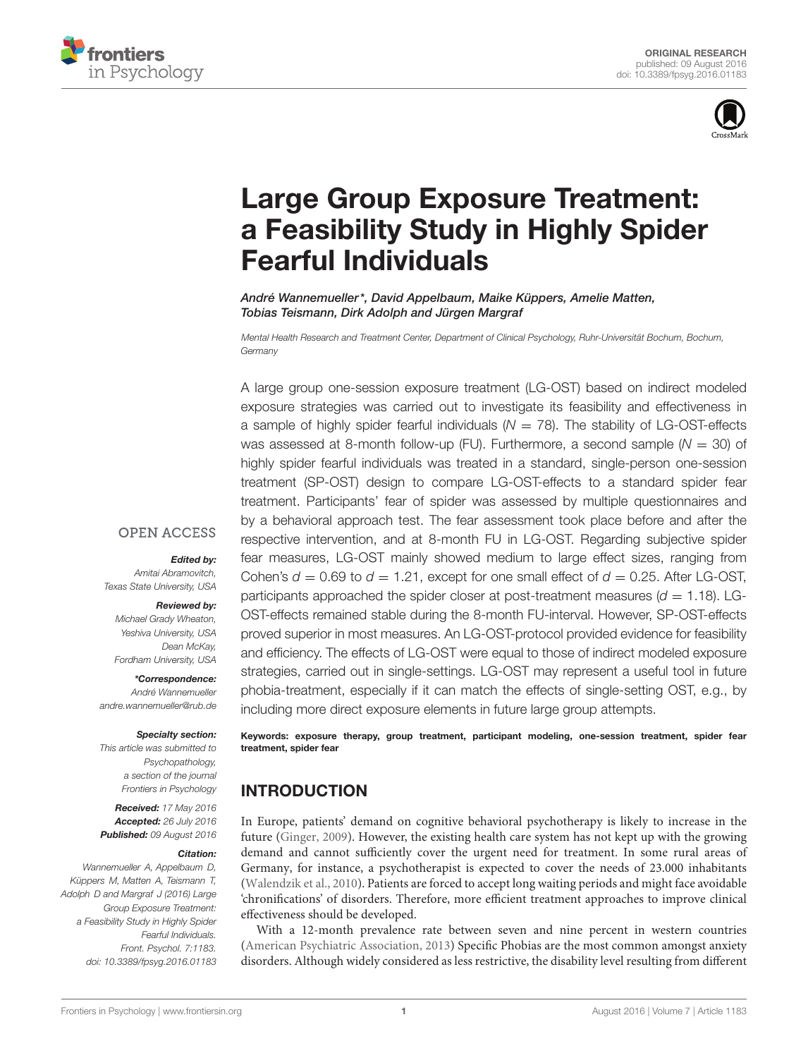



# Large Group Exposure Treatment: [a Feasibility Study in Highly Spider](http://journal.frontiersin.org/article/10.3389/fpsyg.2016.01183/abstract) Fearful Individuals

[André Wannemueller](http://loop.frontiersin.org/people/168127/overview)\*, David Appelbaum, Maike Küppers, Amelie Matten, Tobias Teismann, [Dirk Adolph](http://loop.frontiersin.org/people/77155/overview) and [Jürgen Margraf](http://loop.frontiersin.org/people/152879/overview)

Mental Health Research and Treatment Center, Department of Clinical Psychology, Ruhr-Universität Bochum, Bochum, **Germany** 

A large group one-session exposure treatment (LG-OST) based on indirect modeled exposure strategies was carried out to investigate its feasibility and effectiveness in a sample of highly spider fearful individuals  $(N = 78)$ . The stability of LG-OST-effects was assessed at 8-month follow-up (FU). Furthermore, a second sample  $(N = 30)$  of highly spider fearful individuals was treated in a standard, single-person one-session treatment (SP-OST) design to compare LG-OST-effects to a standard spider fear treatment. Participants' fear of spider was assessed by multiple questionnaires and by a behavioral approach test. The fear assessment took place before and after the respective intervention, and at 8-month FU in LG-OST. Regarding subjective spider fear measures, LG-OST mainly showed medium to large effect sizes, ranging from Cohen's  $d = 0.69$  to  $d = 1.21$ , except for one small effect of  $d = 0.25$ . After LG-OST, participants approached the spider closer at post-treatment measures ( $d = 1.18$ ). LG-OST-effects remained stable during the 8-month FU-interval. However, SP-OST-effects proved superior in most measures. An LG-OST-protocol provided evidence for feasibility and efficiency. The effects of LG-OST were equal to those of indirect modeled exposure strategies, carried out in single-settings. LG-OST may represent a useful tool in future phobia-treatment, especially if it can match the effects of single-setting OST, e.g., by including more direct exposure elements in future large group attempts.

Keywords: exposure therapy, group treatment, participant modeling, one-session treatment, spider fear treatment, spider fear

### INTRODUCTION

In Europe, patients' demand on cognitive behavioral psychotherapy is likely to increase in the future [\(Ginger, 2009\)](#page-9-0). However, the existing health care system has not kept up with the growing demand and cannot sufficiently cover the urgent need for treatment. In some rural areas of Germany, for instance, a psychotherapist is expected to cover the needs of 23.000 inhabitants [\(Walendzik et al., 2010\)](#page-9-1). Patients are forced to accept long waiting periods and might face avoidable 'chronifications' of disorders. Therefore, more efficient treatment approaches to improve clinical effectiveness should be developed.

With a 12-month prevalence rate between seven and nine percent in western countries [\(American Psychiatric Association, 2013\)](#page-9-2) Specific Phobias are the most common amongst anxiety disorders. Although widely considered as less restrictive, the disability level resulting from different

#### **OPEN ACCESS**

#### Edited by:

Amitai Abramovitch, Texas State University, USA

#### Reviewed by:

Michael Grady Wheaton, Yeshiva University, USA Dean McKay, Fordham University, USA

\*Correspondence: André Wannemueller andre.wannemueller@rub.de

#### Specialty section:

This article was submitted to Psychopathology, a section of the journal Frontiers in Psychology

Received: 17 May 2016 Accepted: 26 July 2016 Published: 09 August 2016

#### Citation:

Wannemueller A, Appelbaum D, Küppers M, Matten A, Teismann T, Adolph D and Margraf J (2016) Large Group Exposure Treatment: a Feasibility Study in Highly Spider Fearful Individuals. Front. Psychol. 7:1183. doi: [10.3389/fpsyg.2016.01183](http://dx.doi.org/10.3389/fpsyg.2016.01183)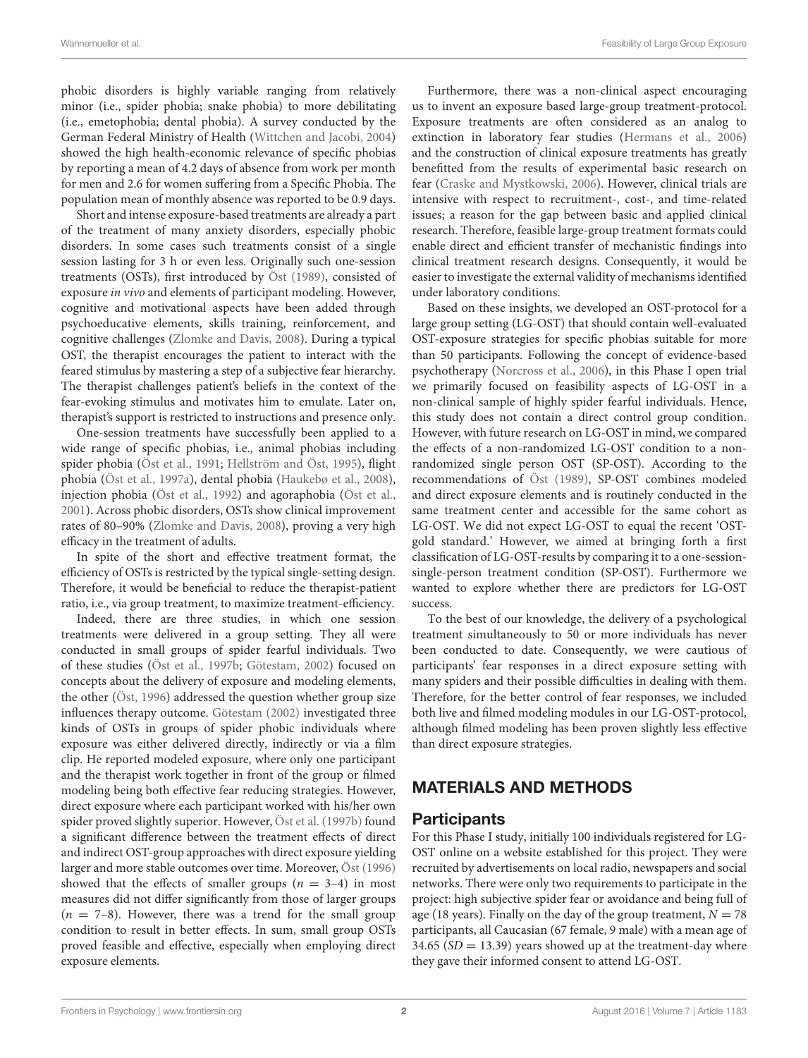phobic disorders is highly variable ranging from relatively minor (i.e., spider phobia; snake phobia) to more debilitating (i.e., emetophobia; dental phobia). A survey conducted by the German Federal Ministry of Health [\(Wittchen and Jacobi,](#page-9-3) [2004\)](#page-9-3) showed the high health-economic relevance of specific phobias by reporting a mean of 4.2 days of absence from work per month for men and 2.6 for women suffering from a Specific Phobia. The population mean of monthly absence was reported to be 0.9 days.

Short and intense exposure-based treatments are already a part of the treatment of many anxiety disorders, especially phobic disorders. In some cases such treatments consist of a single session lasting for 3 h or even less. Originally such one-session treatments (OSTs), first introduced by [Öst](#page-9-4) [\(1989\)](#page-9-4), consisted of exposure in vivo and elements of participant modeling. However, cognitive and motivational aspects have been added through psychoeducative elements, skills training, reinforcement, and cognitive challenges [\(Zlomke and Davis,](#page-9-5) [2008\)](#page-9-5). During a typical OST, the therapist encourages the patient to interact with the feared stimulus by mastering a step of a subjective fear hierarchy. The therapist challenges patient's beliefs in the context of the fear-evoking stimulus and motivates him to emulate. Later on, therapist's support is restricted to instructions and presence only.

One-session treatments have successfully been applied to a wide range of specific phobias, i.e., animal phobias including spider phobia [\(Öst et al.,](#page-9-6) [1991;](#page-9-6) [Hellström and Öst,](#page-9-7) [1995\)](#page-9-7), flight phobia [\(Öst et al.,](#page-9-8) [1997a\)](#page-9-8), dental phobia [\(Haukebø et al.,](#page-9-9) [2008\)](#page-9-9), injection phobia [\(Öst et al.,](#page-9-10) [1992\)](#page-9-10) and agoraphobia [\(Öst et al.,](#page-9-11) [2001\)](#page-9-11). Across phobic disorders, OSTs show clinical improvement rates of 80–90% [\(Zlomke and Davis,](#page-9-5) [2008\)](#page-9-5), proving a very high efficacy in the treatment of adults.

In spite of the short and effective treatment format, the efficiency of OSTs is restricted by the typical single-setting design. Therefore, it would be beneficial to reduce the therapist-patient ratio, i.e., via group treatment, to maximize treatment-efficiency.

Indeed, there are three studies, in which one session treatments were delivered in a group setting. They all were conducted in small groups of spider fearful individuals. Two of these studies [\(Öst et al.,](#page-9-12) [1997b;](#page-9-12) [Götestam,](#page-9-13) [2002\)](#page-9-13) focused on concepts about the delivery of exposure and modeling elements, the other [\(Öst,](#page-9-14) [1996\)](#page-9-14) addressed the question whether group size influences therapy outcome. [Götestam](#page-9-13) [\(2002\)](#page-9-13) investigated three kinds of OSTs in groups of spider phobic individuals where exposure was either delivered directly, indirectly or via a film clip. He reported modeled exposure, where only one participant and the therapist work together in front of the group or filmed modeling being both effective fear reducing strategies. However, direct exposure where each participant worked with his/her own spider proved slightly superior. However, [Öst et al.](#page-9-12) [\(1997b\)](#page-9-12) found a significant difference between the treatment effects of direct and indirect OST-group approaches with direct exposure yielding larger and more stable outcomes over time. Moreover, [Öst](#page-9-14) [\(1996\)](#page-9-14) showed that the effects of smaller groups ( $n = 3-4$ ) in most measures did not differ significantly from those of larger groups  $(n = 7-8)$ . However, there was a trend for the small group condition to result in better effects. In sum, small group OSTs proved feasible and effective, especially when employing direct exposure elements.

Furthermore, there was a non-clinical aspect encouraging us to invent an exposure based large-group treatment-protocol. Exposure treatments are often considered as an analog to extinction in laboratory fear studies [\(Hermans et al.,](#page-9-15) [2006\)](#page-9-15) and the construction of clinical exposure treatments has greatly benefitted from the results of experimental basic research on fear [\(Craske and Mystkowski,](#page-9-16) [2006\)](#page-9-16). However, clinical trials are intensive with respect to recruitment-, cost-, and time-related issues; a reason for the gap between basic and applied clinical research. Therefore, feasible large-group treatment formats could enable direct and efficient transfer of mechanistic findings into clinical treatment research designs. Consequently, it would be easier to investigate the external validity of mechanisms identified under laboratory conditions.

Based on these insights, we developed an OST-protocol for a large group setting (LG-OST) that should contain well-evaluated OST-exposure strategies for specific phobias suitable for more than 50 participants. Following the concept of evidence-based psychotherapy [\(Norcross et al.,](#page-9-17) [2006\)](#page-9-17), in this Phase I open trial we primarily focused on feasibility aspects of LG-OST in a non-clinical sample of highly spider fearful individuals. Hence, this study does not contain a direct control group condition. However, with future research on LG-OST in mind, we compared the effects of a non-randomized LG-OST condition to a nonrandomized single person OST (SP-OST). According to the recommendations of [Öst](#page-9-4) [\(1989\)](#page-9-4), SP-OST combines modeled and direct exposure elements and is routinely conducted in the same treatment center and accessible for the same cohort as LG-OST. We did not expect LG-OST to equal the recent 'OSTgold standard.' However, we aimed at bringing forth a first classification of LG-OST-results by comparing it to a one-sessionsingle-person treatment condition (SP-OST). Furthermore we wanted to explore whether there are predictors for LG-OST success.

To the best of our knowledge, the delivery of a psychological treatment simultaneously to 50 or more individuals has never been conducted to date. Consequently, we were cautious of participants' fear responses in a direct exposure setting with many spiders and their possible difficulties in dealing with them. Therefore, for the better control of fear responses, we included both live and filmed modeling modules in our LG-OST-protocol, although filmed modeling has been proven slightly less effective than direct exposure strategies.

### MATERIALS AND METHODS

#### **Participants**

For this Phase I study, initially 100 individuals registered for LG-OST online on a website established for this project. They were recruited by advertisements on local radio, newspapers and social networks. There were only two requirements to participate in the project: high subjective spider fear or avoidance and being full of age (18 years). Finally on the day of the group treatment,  $N = 78$ participants, all Caucasian (67 female, 9 male) with a mean age of 34.65 ( $SD = 13.39$ ) years showed up at the treatment-day where they gave their informed consent to attend LG-OST.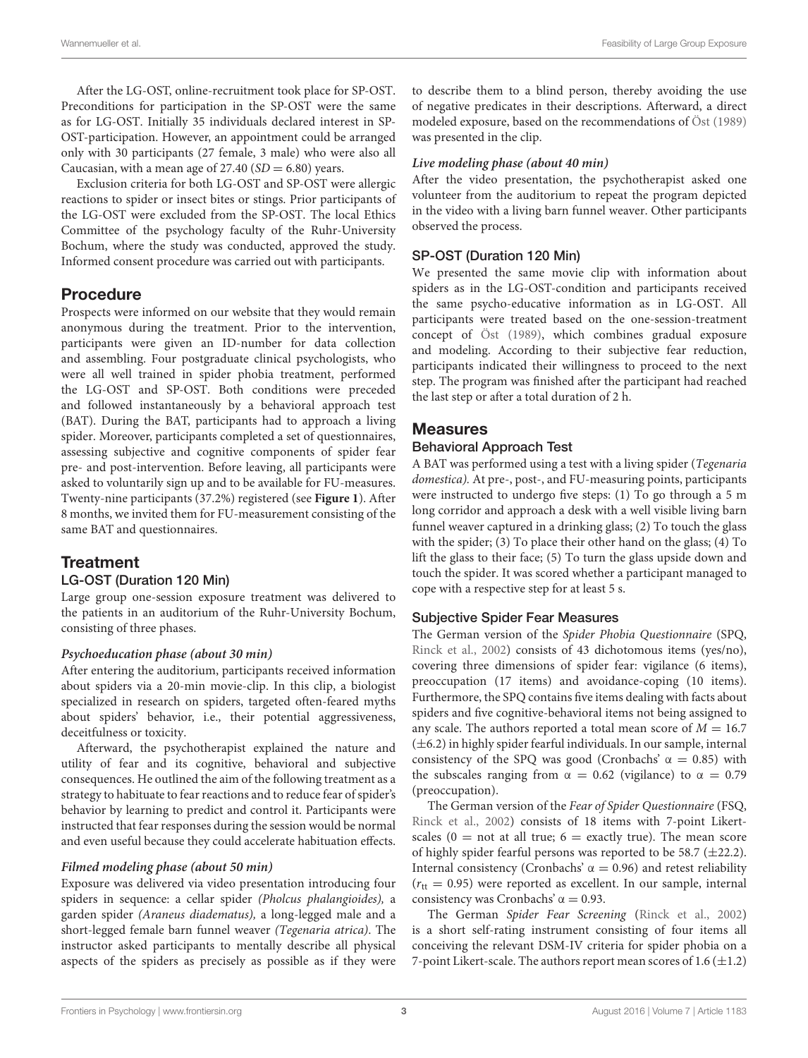After the LG-OST, online-recruitment took place for SP-OST. Preconditions for participation in the SP-OST were the same as for LG-OST. Initially 35 individuals declared interest in SP-OST-participation. However, an appointment could be arranged only with 30 participants (27 female, 3 male) who were also all Caucasian, with a mean age of 27.40  $(SD = 6.80)$  years.

Exclusion criteria for both LG-OST and SP-OST were allergic reactions to spider or insect bites or stings. Prior participants of the LG-OST were excluded from the SP-OST. The local Ethics Committee of the psychology faculty of the Ruhr-University Bochum, where the study was conducted, approved the study. Informed consent procedure was carried out with participants.

#### Procedure

Prospects were informed on our website that they would remain anonymous during the treatment. Prior to the intervention, participants were given an ID-number for data collection and assembling. Four postgraduate clinical psychologists, who were all well trained in spider phobia treatment, performed the LG-OST and SP-OST. Both conditions were preceded and followed instantaneously by a behavioral approach test (BAT). During the BAT, participants had to approach a living spider. Moreover, participants completed a set of questionnaires, assessing subjective and cognitive components of spider fear pre- and post-intervention. Before leaving, all participants were asked to voluntarily sign up and to be available for FU-measures. Twenty-nine participants (37.2%) registered (see **[Figure 1](#page-3-0)**). After 8 months, we invited them for FU-measurement consisting of the same BAT and questionnaires.

### **Treatment**

#### LG-OST (Duration 120 Min)

Large group one-session exposure treatment was delivered to the patients in an auditorium of the Ruhr-University Bochum, consisting of three phases.

#### **Psychoeducation phase (about 30 min)**

After entering the auditorium, participants received information about spiders via a 20-min movie-clip. In this clip, a biologist specialized in research on spiders, targeted often-feared myths about spiders' behavior, i.e., their potential aggressiveness, deceitfulness or toxicity.

Afterward, the psychotherapist explained the nature and utility of fear and its cognitive, behavioral and subjective consequences. He outlined the aim of the following treatment as a strategy to habituate to fear reactions and to reduce fear of spider's behavior by learning to predict and control it. Participants were instructed that fear responses during the session would be normal and even useful because they could accelerate habituation effects.

#### **Filmed modeling phase (about 50 min)**

Exposure was delivered via video presentation introducing four spiders in sequence: a cellar spider (Pholcus phalangioides), a garden spider (Araneus diadematus), a long-legged male and a short-legged female barn funnel weaver (Tegenaria atrica). The instructor asked participants to mentally describe all physical aspects of the spiders as precisely as possible as if they were

to describe them to a blind person, thereby avoiding the use of negative predicates in their descriptions. Afterward, a direct modeled exposure, based on the recommendations of [Öst](#page-9-4) [\(1989\)](#page-9-4) was presented in the clip.

#### **Live modeling phase (about 40 min)**

After the video presentation, the psychotherapist asked one volunteer from the auditorium to repeat the program depicted in the video with a living barn funnel weaver. Other participants observed the process.

#### SP-OST (Duration 120 Min)

We presented the same movie clip with information about spiders as in the LG-OST-condition and participants received the same psycho-educative information as in LG-OST. All participants were treated based on the one-session-treatment concept of [Öst](#page-9-4) [\(1989\)](#page-9-4), which combines gradual exposure and modeling. According to their subjective fear reduction, participants indicated their willingness to proceed to the next step. The program was finished after the participant had reached the last step or after a total duration of 2 h.

#### Measures

#### Behavioral Approach Test

A BAT was performed using a test with a living spider (Tegenaria domestica). At pre-, post-, and FU-measuring points, participants were instructed to undergo five steps: (1) To go through a 5 m long corridor and approach a desk with a well visible living barn funnel weaver captured in a drinking glass; (2) To touch the glass with the spider; (3) To place their other hand on the glass; (4) To lift the glass to their face; (5) To turn the glass upside down and touch the spider. It was scored whether a participant managed to cope with a respective step for at least 5 s.

#### Subjective Spider Fear Measures

The German version of the Spider Phobia Questionnaire (SPQ, [Rinck et al.,](#page-9-18) [2002\)](#page-9-18) consists of 43 dichotomous items (yes/no), covering three dimensions of spider fear: vigilance (6 items), preoccupation (17 items) and avoidance-coping (10 items). Furthermore, the SPQ contains five items dealing with facts about spiders and five cognitive-behavioral items not being assigned to any scale. The authors reported a total mean score of  $M = 16.7$  $(\pm 6.2)$  in highly spider fearful individuals. In our sample, internal consistency of the SPQ was good (Cronbachs'  $\alpha = 0.85$ ) with the subscales ranging from  $\alpha = 0.62$  (vigilance) to  $\alpha = 0.79$ (preoccupation).

The German version of the Fear of Spider Questionnaire (FSQ, [Rinck et al.,](#page-9-18) [2002\)](#page-9-18) consists of 18 items with 7-point Likertscales ( $0 =$  not at all true;  $6 =$  exactly true). The mean score of highly spider fearful persons was reported to be 58.7  $(\pm 22.2)$ . Internal consistency (Cronbachs'  $\alpha = 0.96$ ) and retest reliability  $(r_{tt} = 0.95)$  were reported as excellent. In our sample, internal consistency was Cronbachs'  $\alpha = 0.93$ .

The German Spider Fear Screening [\(Rinck et al.,](#page-9-18) [2002\)](#page-9-18) is a short self-rating instrument consisting of four items all conceiving the relevant DSM-IV criteria for spider phobia on a 7-point Likert-scale. The authors report mean scores of  $1.6 (\pm 1.2)$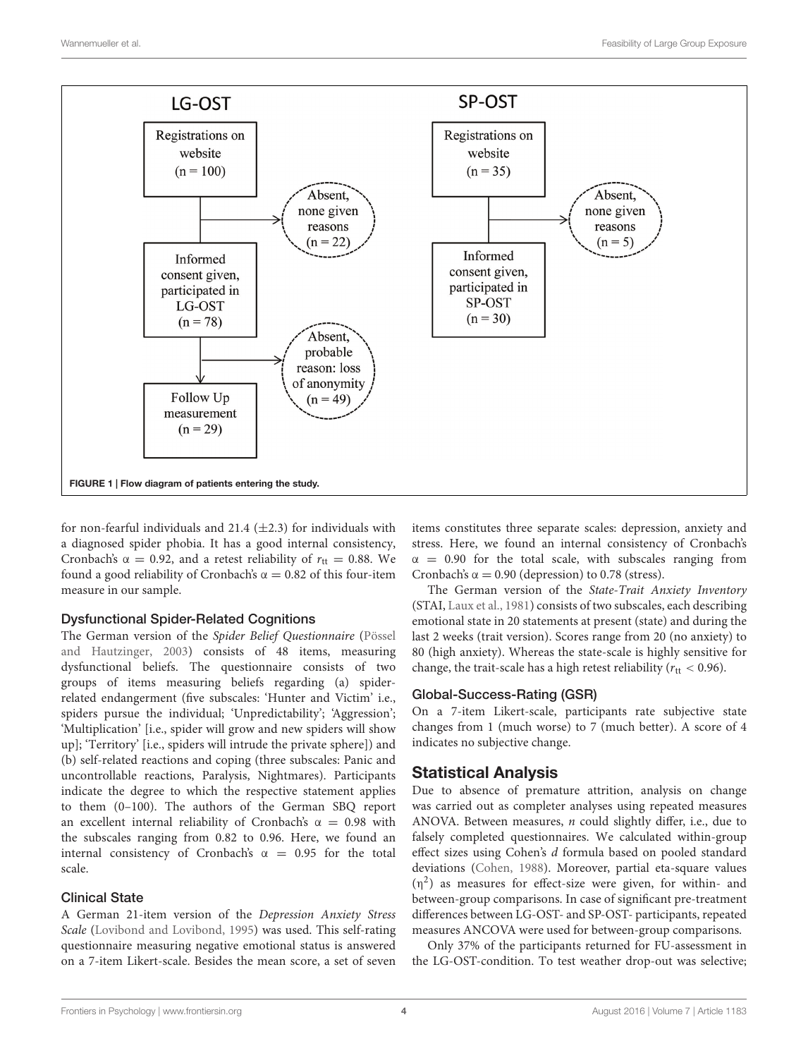

<span id="page-3-0"></span>for non-fearful individuals and 21.4  $(\pm 2.3)$  for individuals with a diagnosed spider phobia. It has a good internal consistency, Cronbach's  $\alpha = 0.92$ , and a retest reliability of  $r_{\text{tt}} = 0.88$ . We found a good reliability of Cronbach's  $\alpha = 0.82$  of this four-item measure in our sample.

#### Dysfunctional Spider-Related Cognitions

The German version of the Spider Belief Questionnaire [\(Pössel](#page-9-19) [and Hautzinger,](#page-9-19) [2003\)](#page-9-19) consists of 48 items, measuring dysfunctional beliefs. The questionnaire consists of two groups of items measuring beliefs regarding (a) spiderrelated endangerment (five subscales: 'Hunter and Victim' i.e., spiders pursue the individual; 'Unpredictability'; 'Aggression'; 'Multiplication' [i.e., spider will grow and new spiders will show up]; 'Territory' [i.e., spiders will intrude the private sphere]) and (b) self-related reactions and coping (three subscales: Panic and uncontrollable reactions, Paralysis, Nightmares). Participants indicate the degree to which the respective statement applies to them (0–100). The authors of the German SBQ report an excellent internal reliability of Cronbach's  $\alpha = 0.98$  with the subscales ranging from 0.82 to 0.96. Here, we found an internal consistency of Cronbach's  $\alpha = 0.95$  for the total scale.

#### Clinical State

A German 21-item version of the Depression Anxiety Stress Scale [\(Lovibond and Lovibond,](#page-9-20) [1995\)](#page-9-20) was used. This self-rating questionnaire measuring negative emotional status is answered on a 7-item Likert-scale. Besides the mean score, a set of seven

items constitutes three separate scales: depression, anxiety and stress. Here, we found an internal consistency of Cronbach's  $\alpha$  = 0.90 for the total scale, with subscales ranging from Cronbach's  $\alpha = 0.90$  (depression) to 0.78 (stress).

The German version of the State-Trait Anxiety Inventory (STAI, [Laux et al.,](#page-9-21) [1981\)](#page-9-21) consists of two subscales, each describing emotional state in 20 statements at present (state) and during the last 2 weeks (trait version). Scores range from 20 (no anxiety) to 80 (high anxiety). Whereas the state-scale is highly sensitive for change, the trait-scale has a high retest reliability ( $r_{\text{tt}} < 0.96$ ).

#### Global-Success-Rating (GSR)

On a 7-item Likert-scale, participants rate subjective state changes from 1 (much worse) to 7 (much better). A score of 4 indicates no subjective change.

### Statistical Analysis

Due to absence of premature attrition, analysis on change was carried out as completer analyses using repeated measures ANOVA. Between measures, n could slightly differ, i.e., due to falsely completed questionnaires. We calculated within-group effect sizes using Cohen's d formula based on pooled standard deviations [\(Cohen,](#page-9-22) [1988\)](#page-9-22). Moreover, partial eta-square values  $(\eta^2)$  as measures for effect-size were given, for within- and between-group comparisons. In case of significant pre-treatment differences between LG-OST- and SP-OST- participants, repeated measures ANCOVA were used for between-group comparisons.

Only 37% of the participants returned for FU-assessment in the LG-OST-condition. To test weather drop-out was selective;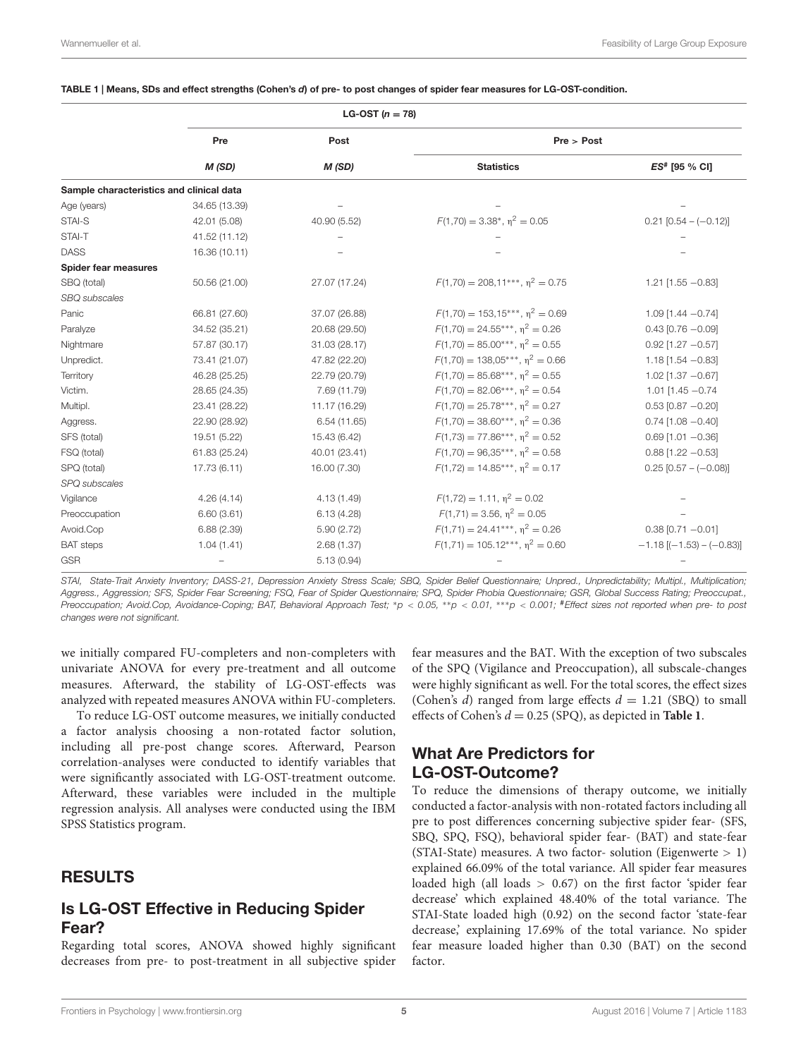<span id="page-4-0"></span>

|  |  |  |  | TABLE 1   Means, SDs and effect strengths (Cohen's d) of pre- to post changes of spider fear measures for LG-OST-condition. |  |
|--|--|--|--|-----------------------------------------------------------------------------------------------------------------------------|--|
|  |  |  |  |                                                                                                                             |  |

|                                          | LG-OST $(n = 78)$ |               |                                        |                                   |  |
|------------------------------------------|-------------------|---------------|----------------------------------------|-----------------------------------|--|
|                                          | Pre               | Post          | Pre > Post                             |                                   |  |
|                                          | M(SD)             | M(SD)         | <b>Statistics</b>                      | ES# [95 % CI]                     |  |
| Sample characteristics and clinical data |                   |               |                                        |                                   |  |
| Age (years)                              | 34.65 (13.39)     |               |                                        |                                   |  |
| STAI-S                                   | 42.01 (5.08)      | 40.90 (5.52)  | $F(1,70) = 3.38^*$ , $n^2 = 0.05$      | $0.21$ [0.54 - (-0.12)]           |  |
| STAI-T                                   | 41.52 (11.12)     |               |                                        |                                   |  |
| <b>DASS</b>                              | 16.36 (10.11)     |               |                                        |                                   |  |
| Spider fear measures                     |                   |               |                                        |                                   |  |
| SBQ (total)                              | 50.56 (21.00)     | 27.07 (17.24) | $F(1,70) = 208.11***$ , $n^2 = 0.75$   | $1.21$ [1.55 $-0.83$ ]            |  |
| SBQ subscales                            |                   |               |                                        |                                   |  |
| Panic                                    | 66.81 (27.60)     | 37.07 (26.88) | $F(1,70) = 153.15***$ , $n^2 = 0.69$   | $1.09$ [1.44 $-0.74$ ]            |  |
| Paralyze                                 | 34.52 (35.21)     | 20.68 (29.50) | $F(1.70) = 24.55***$ , $n^2 = 0.26$    | $0.43$ [0.76 $-0.09$ ]            |  |
| Nightmare                                | 57.87 (30.17)     | 31.03 (28.17) | $F(1,70) = 85.00^{***}, \eta^2 = 0.55$ | $0.92$ [1.27 $-0.57$ ]            |  |
| Unpredict.                               | 73.41 (21.07)     | 47.82 (22.20) | $F(1,70) = 138.05***$ , $n^2 = 0.66$   | $1.18$ [1.54 - 0.83]              |  |
| Territory                                | 46.28 (25.25)     | 22.79 (20.79) | $F(1,70) = 85.68***$ , $n^2 = 0.55$    | $1.02$ [1.37 $-0.67$ ]            |  |
| Victim.                                  | 28.65 (24.35)     | 7.69 (11.79)  | $F(1,70) = 82.06***$ , $n^2 = 0.54$    | 1.01 $[1.45 - 0.74]$              |  |
| Multipl.                                 | 23.41 (28.22)     | 11.17 (16.29) | $F(1,70) = 25.78***$ , $n^2 = 0.27$    | $0.53$ [0.87 $-0.20$ ]            |  |
| Aggress.                                 | 22.90 (28.92)     | 6.54(11.65)   | $F(1,70) = 38.60***$ , $n^2 = 0.36$    | $0.74$ [1.08 $-0.40$ ]            |  |
| SFS (total)                              | 19.51 (5.22)      | 15.43 (6.42)  | $F(1.73) = 77.86***$ , $n^2 = 0.52$    | $0.69$ [1.01 $-0.36$ ]            |  |
| FSQ (total)                              | 61.83 (25.24)     | 40.01 (23.41) | $F(1,70) = 96.35***$ , $n^2 = 0.58$    | $0.88$ [1.22 $-0.53$ ]            |  |
| SPQ (total)                              | 17.73 (6.11)      | 16.00 (7.30)  | $F(1,72) = 14.85***$ , $n^2 = 0.17$    | $0.25$ [0.57 - (-0.08)]           |  |
| SPQ subscales                            |                   |               |                                        |                                   |  |
| Vigilance                                | 4.26(4.14)        | 4.13 (1.49)   | $F(1,72) = 1.11$ , $n^2 = 0.02$        |                                   |  |
| Preoccupation                            | 6.60(3.61)        | 6.13(4.28)    | $F(1,71) = 3.56$ , $n^2 = 0.05$        |                                   |  |
| Avoid.Cop                                | 6.88(2.39)        | 5.90(2.72)    | $F(1,71) = 24.41***$ , $\eta^2 = 0.26$ | $0.38$ [0.71 $-0.01$ ]            |  |
| <b>BAT</b> steps                         | 1.04(1.41)        | 2.68(1.37)    | $F(1,71) = 105.12***$ , $n^2 = 0.60$   | $-1.18$ [( $-1.53$ ) $-(-0.83)$ ] |  |
| <b>GSR</b>                               |                   | 5.13(0.94)    |                                        |                                   |  |

STAI, State-Trait Anxiety Inventory; DASS-21, Depression Anxiety Stress Scale; SBQ, Spider Belief Questionnaire; Unpred., Unpredictability; Multipl., Multiplication; Aggress., Aggression; SFS, Spider Fear Screening; FSQ, Fear of Spider Questionnaire; SPQ, Spider Phobia Questionnaire; GSR, Global Success Rating; Preoccupat., Preoccupation; Avoid.Cop, Avoidance-Coping; BAT, Behavioral Approach Test; \*p < 0.05, \*\*p < 0.01, \*\*p < 0.001; #Effect sizes not reported when pre- to post changes were not significant.

we initially compared FU-completers and non-completers with univariate ANOVA for every pre-treatment and all outcome measures. Afterward, the stability of LG-OST-effects was analyzed with repeated measures ANOVA within FU-completers.

To reduce LG-OST outcome measures, we initially conducted a factor analysis choosing a non-rotated factor solution, including all pre-post change scores. Afterward, Pearson correlation-analyses were conducted to identify variables that were significantly associated with LG-OST-treatment outcome. Afterward, these variables were included in the multiple regression analysis. All analyses were conducted using the IBM SPSS Statistics program.

#### RESULTS

#### Is LG-OST Effective in Reducing Spider Fear?

Regarding total scores, ANOVA showed highly significant decreases from pre- to post-treatment in all subjective spider fear measures and the BAT. With the exception of two subscales of the SPQ (Vigilance and Preoccupation), all subscale-changes were highly significant as well. For the total scores, the effect sizes (Cohen's d) ranged from large effects  $d = 1.21$  (SBQ) to small effects of Cohen's  $d = 0.25$  (SPO), as depicted in **[Table 1](#page-4-0)**.

### What Are Predictors for LG-OST-Outcome?

To reduce the dimensions of therapy outcome, we initially conducted a factor-analysis with non-rotated factors including all pre to post differences concerning subjective spider fear- (SFS, SBQ, SPQ, FSQ), behavioral spider fear- (BAT) and state-fear (STAI-State) measures. A two factor- solution (Eigenwerte > 1) explained 66.09% of the total variance. All spider fear measures loaded high (all loads > 0.67) on the first factor 'spider fear decrease' which explained 48.40% of the total variance. The STAI-State loaded high (0.92) on the second factor 'state-fear decrease,' explaining 17.69% of the total variance. No spider fear measure loaded higher than 0.30 (BAT) on the second factor.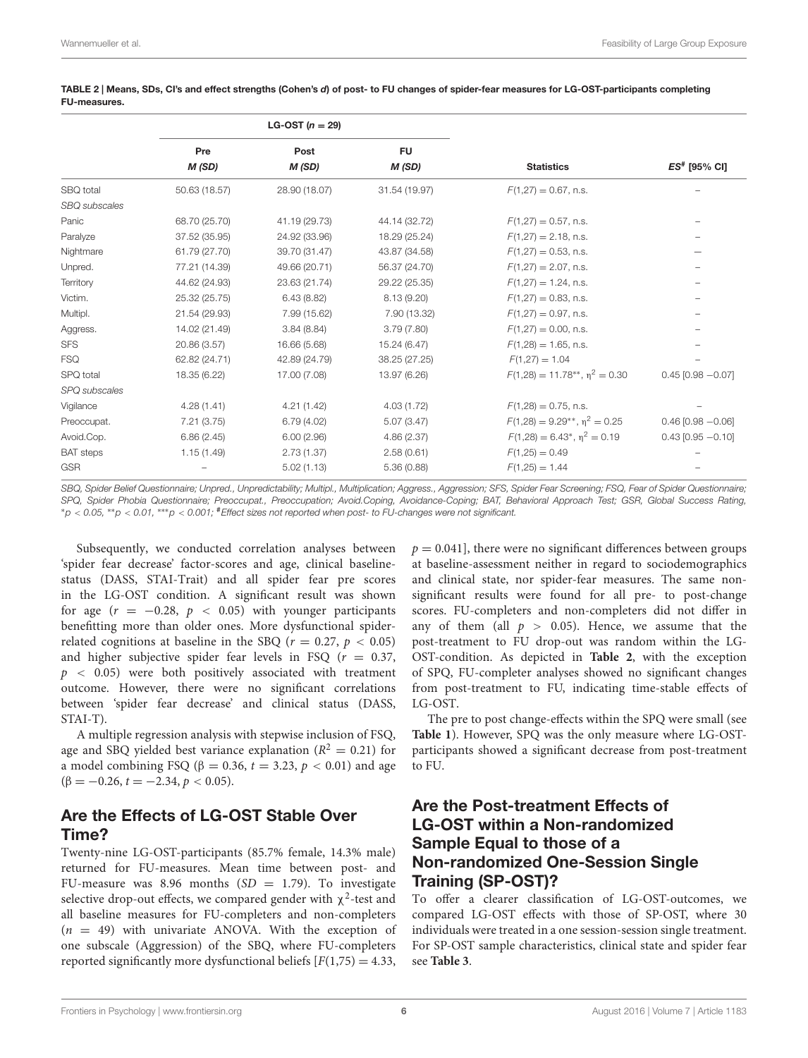|                      | LG-OST $(n = 29)$ |               |                     |                                         |                          |
|----------------------|-------------------|---------------|---------------------|-----------------------------------------|--------------------------|
|                      | Pre<br>M (SD)     | Post<br>M(SD) | <b>FU</b><br>M (SD) | <b>Statistics</b>                       | ES <sup>#</sup> [95% CI] |
| SBQ total            | 50.63 (18.57)     | 28.90 (18.07) | 31.54 (19.97)       | $F(1,27) = 0.67$ , n.s.                 |                          |
| <b>SBQ</b> subscales |                   |               |                     |                                         |                          |
| Panic                | 68.70 (25.70)     | 41.19 (29.73) | 44.14 (32.72)       | $F(1,27) = 0.57$ , n.s.                 |                          |
| Paralyze             | 37.52 (35.95)     | 24.92 (33.96) | 18.29 (25.24)       | $F(1,27) = 2.18$ , n.s.                 |                          |
| Nightmare            | 61.79 (27.70)     | 39.70 (31.47) | 43.87 (34.58)       | $F(1,27) = 0.53$ , n.s.                 |                          |
| Unpred.              | 77.21 (14.39)     | 49.66 (20.71) | 56.37 (24.70)       | $F(1,27) = 2.07$ , n.s.                 |                          |
| Territory            | 44.62 (24.93)     | 23.63 (21.74) | 29.22 (25.35)       | $F(1,27) = 1.24$ , n.s.                 |                          |
| Victim.              | 25.32 (25.75)     | 6.43(8.82)    | 8.13(9.20)          | $F(1,27) = 0.83$ , n.s.                 |                          |
| Multipl.             | 21.54 (29.93)     | 7.99 (15.62)  | 7.90 (13.32)        | $F(1,27) = 0.97$ , n.s.                 |                          |
| Aggress.             | 14.02 (21.49)     | 3.84(8.84)    | 3.79(7.80)          | $F(1,27) = 0.00$ , n.s.                 |                          |
| <b>SFS</b>           | 20.86 (3.57)      | 16.66 (5.68)  | 15.24 (6.47)        | $F(1,28) = 1.65$ , n.s.                 |                          |
| <b>FSQ</b>           | 62.82 (24.71)     | 42.89 (24.79) | 38.25 (27.25)       | $F(1,27) = 1.04$                        |                          |
| SPQ total            | 18.35 (6.22)      | 17.00 (7.08)  | 13.97 (6.26)        | $F(1,28) = 11.78**$ , $\eta^2 = 0.30$   | $0.45$ [0.98 $-0.07$ ]   |
| SPQ subscales        |                   |               |                     |                                         |                          |
| Vigilance            | 4.28(1.41)        | 4.21(1.42)    | 4.03(1.72)          | $F(1,28) = 0.75$ , n.s.                 |                          |
| Preoccupat.          | 7.21(3.75)        | 6.79(4.02)    | 5.07(3.47)          | $F(1,28) = 9.29^{**}$ , $\eta^2 = 0.25$ | $0.46$ [0.98 $-0.06$ ]   |
| Avoid.Cop.           | 6.86(2.45)        | 6.00(2.96)    | 4.86(2.37)          | $F(1,28) = 6.43^*$ , $\eta^2 = 0.19$    | $0.43$ [0.95 $-0.10$ ]   |
| <b>BAT</b> steps     | 1.15(1.49)        | 2.73(1.37)    | 2.58(0.61)          | $F(1,25) = 0.49$                        |                          |
| <b>GSR</b>           |                   | 5.02(1.13)    | 5.36(0.88)          | $F(1,25) = 1.44$                        |                          |

<span id="page-5-0"></span>TABLE 2 | Means, SDs, CI's and effect strengths (Cohen's d) of post- to FU changes of spider-fear measures for LG-OST-participants completing FU-measures.

SBQ, Spider Belief Questionnaire; Unpred., Unpredictability; Multipl., Multiplication; Aggress., Aggression; SFS, Spider Fear Screening; FSQ, Fear of Spider Questionnaire; SPQ, Spider Phobia Questionnaire; Preoccupat., Preoccupation; Avoid.Coping, Avoidance-Coping; BAT, Behavioral Approach Test; GSR, Global Success Rating, <sup>∗</sup>p < 0.05, ∗∗p < 0.01, ∗∗∗p < 0.001; #Effect sizes not reported when post- to FU-changes were not significant.

Subsequently, we conducted correlation analyses between 'spider fear decrease' factor-scores and age, clinical baselinestatus (DASS, STAI-Trait) and all spider fear pre scores in the LG-OST condition. A significant result was shown for age  $(r = -0.28, p < 0.05)$  with younger participants benefitting more than older ones. More dysfunctional spiderrelated cognitions at baseline in the SBQ ( $r = 0.27$ ,  $p < 0.05$ ) and higher subjective spider fear levels in FSQ ( $r = 0.37$ ,  $p \sim 0.05$ ) were both positively associated with treatment outcome. However, there were no significant correlations between 'spider fear decrease' and clinical status (DASS, STAI-T).

A multiple regression analysis with stepwise inclusion of FSQ, age and SBQ yielded best variance explanation ( $R^2 = 0.21$ ) for a model combining FSQ (β = 0.36,  $t = 3.23$ ,  $p < 0.01$ ) and age  $(\beta = -0.26, t = -2.34, p < 0.05)$ .

### Are the Effects of LG-OST Stable Over Time?

Twenty-nine LG-OST-participants (85.7% female, 14.3% male) returned for FU-measures. Mean time between post- and FU-measure was 8.96 months  $(SD = 1.79)$ . To investigate selective drop-out effects, we compared gender with  $\chi^2$ -test and all baseline measures for FU-completers and non-completers  $(n = 49)$  with univariate ANOVA. With the exception of one subscale (Aggression) of the SBQ, where FU-completers reported significantly more dysfunctional beliefs  $[F(1,75) = 4.33]$ ,

 $p = 0.041$ , there were no significant differences between groups at baseline-assessment neither in regard to sociodemographics and clinical state, nor spider-fear measures. The same nonsignificant results were found for all pre- to post-change scores. FU-completers and non-completers did not differ in any of them (all  $p > 0.05$ ). Hence, we assume that the post-treatment to FU drop-out was random within the LG-OST-condition. As depicted in **[Table 2](#page-5-0)**, with the exception of SPQ, FU-completer analyses showed no significant changes from post-treatment to FU, indicating time-stable effects of LG-OST.

The pre to post change-effects within the SPQ were small (see **[Table 1](#page-4-0)**). However, SPQ was the only measure where LG-OSTparticipants showed a significant decrease from post-treatment to FU.

#### Are the Post-treatment Effects of LG-OST within a Non-randomized Sample Equal to those of a Non-randomized One-Session Single Training (SP-OST)?

To offer a clearer classification of LG-OST-outcomes, we compared LG-OST effects with those of SP-OST, where 30 individuals were treated in a one session-session single treatment. For SP-OST sample characteristics, clinical state and spider fear see **[Table 3](#page-6-0)**.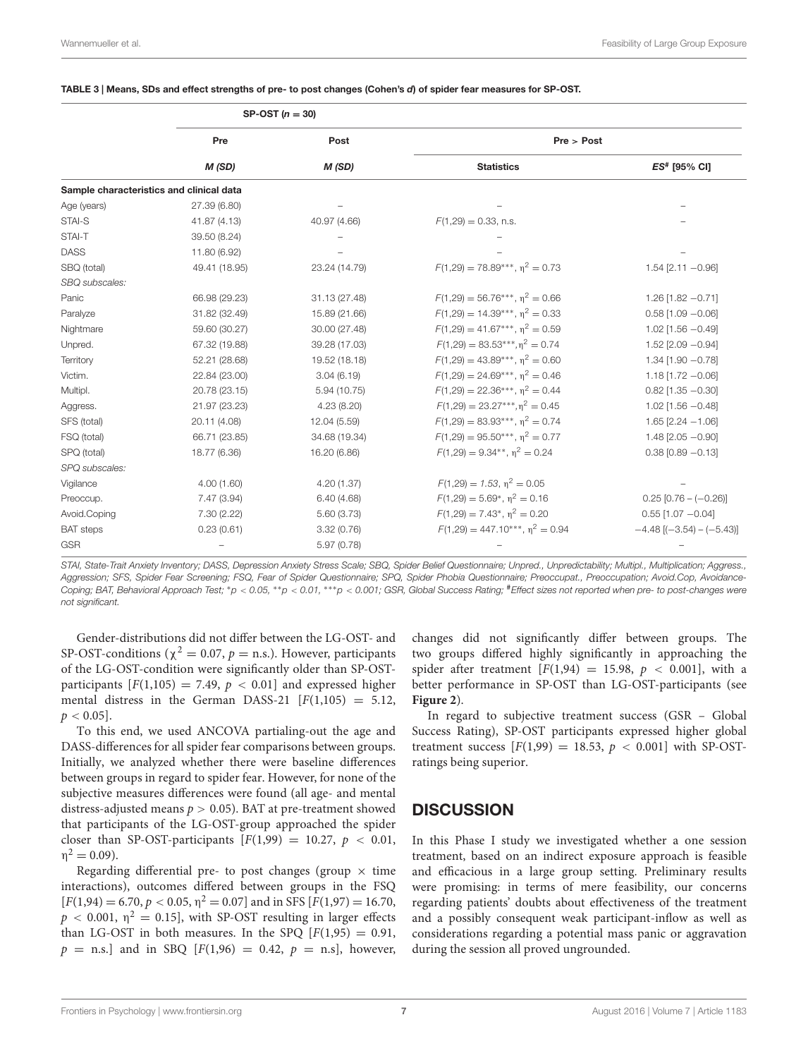#### <span id="page-6-0"></span>TABLE 3 | Means, SDs and effect strengths of pre- to post changes (Cohen's d) of spider fear measures for SP-OST.

|                                          |               | SP-OST $(n = 30)$ |                                        |                                 |  |
|------------------------------------------|---------------|-------------------|----------------------------------------|---------------------------------|--|
|                                          | Pre           | Post              | Pre > Post                             |                                 |  |
|                                          | M(SD)         | M(SD)             | <b>Statistics</b>                      | ES# [95% CI]                    |  |
| Sample characteristics and clinical data |               |                   |                                        |                                 |  |
| Age (years)                              | 27.39 (6.80)  |                   |                                        |                                 |  |
| STAI-S                                   | 41.87 (4.13)  | 40.97 (4.66)      | $F(1,29) = 0.33$ , n.s.                |                                 |  |
| STAI-T                                   | 39.50 (8.24)  |                   |                                        |                                 |  |
| <b>DASS</b>                              | 11.80 (6.92)  |                   |                                        |                                 |  |
| SBQ (total)                              | 49.41 (18.95) | 23.24 (14.79)     | $F(1,29) = 78.89***$ , $n^2 = 0.73$    | $1.54$ [2.11 $-0.96$ ]          |  |
| SBQ subscales:                           |               |                   |                                        |                                 |  |
| Panic                                    | 66.98 (29.23) | 31.13 (27.48)     | $F(1,29) = 56.76***$ , $n^2 = 0.66$    | $1.26$ [1.82 - 0.71]            |  |
| Paralyze                                 | 31.82 (32.49) | 15.89 (21.66)     | $F(1,29) = 14.39***$ , $n^2 = 0.33$    | $0.58$ [1.09 $-0.06$ ]          |  |
| Nightmare                                | 59.60 (30.27) | 30.00 (27.48)     | $F(1.29) = 41.67***$ , $n^2 = 0.59$    | $1.02$ [1.56 $-0.49$ ]          |  |
| Unpred.                                  | 67.32 (19.88) | 39.28 (17.03)     | $F(1,29) = 83.53***$ , $n^2 = 0.74$    | $1.52$ [2.09 $-0.94$ ]          |  |
| Territory                                | 52.21 (28.68) | 19.52 (18.18)     | $F(1.29) = 43.89***$ , $n^2 = 0.60$    | $1.34$ [1.90 $-0.78$ ]          |  |
| Victim.                                  | 22.84 (23.00) | 3.04(6.19)        | $F(1,29) = 24.69***$ , $n^2 = 0.46$    | $1.18$ [1.72 $-0.06$ ]          |  |
| Multipl.                                 | 20.78 (23.15) | 5.94(10.75)       | $F(1,29) = 22.36***$ , $\eta^2 = 0.44$ | $0.82$ [1.35 $-0.30$ ]          |  |
| Aggress.                                 | 21.97 (23.23) | 4.23(8.20)        | $F(1,29) = 23.27***$ , $n^2 = 0.45$    | $1.02$ [1.56 $-0.48$ ]          |  |
| SFS (total)                              | 20.11 (4.08)  | 12.04 (5.59)      | $F(1,29) = 83.93***$ , $n^2 = 0.74$    | $1.65$ [2.24 $-1.06$ ]          |  |
| FSQ (total)                              | 66.71 (23.85) | 34.68 (19.34)     | $F(1,29) = 95.50***$ , $n^2 = 0.77$    | $1.48$ [2.05 $-0.90$ ]          |  |
| SPQ (total)                              | 18.77 (6.36)  | 16.20 (6.86)      | $F(1.29) = 9.34**$ , $n^2 = 0.24$      | $0.38$ [0.89 $-0.13$ ]          |  |
| SPQ subscales:                           |               |                   |                                        |                                 |  |
| Vigilance                                | 4.00(1.60)    | 4.20(1.37)        | $F(1,29) = 1.53$ , $n^2 = 0.05$        |                                 |  |
| Preoccup.                                | 7.47 (3.94)   | 6.40(4.68)        | $F(1,29) = 5.69^*$ , $n^2 = 0.16$      | $0.25$ [0.76 - (-0.26)]         |  |
| Avoid.Coping                             | 7.30(2.22)    | 5.60(3.73)        | $F(1,29) = 7.43^*$ , $n^2 = 0.20$      | $0.55$ [1.07 - 0.04]            |  |
| <b>BAT</b> steps                         | 0.23(0.61)    | 3.32 (0.76)       | $F(1,29) = 447.10***$ , $n^2 = 0.94$   | $-4.48$ [ $(-3.54) - (-5.43)$ ] |  |
| <b>GSR</b>                               |               | 5.97(0.78)        |                                        |                                 |  |

STAI, State-Trait Anxiety Inventory: DASS, Depression Anxiety Stress Scale; SBQ, Spider Belief Questionnaire; Unpred., Unpredictability; Multipl., Multiplication; Aggress., Aggression; SFS, Spider Fear Screening; FSQ, Fear of Spider Questionnaire; SPQ, Spider Phobia Questionnaire; Preoccupat., Preoccupation; Avoid.Cop, Avoidance-Coping; BAT, Behavioral Approach Test; \*p < 0.05, \*\*p < 0.01, \*\*\*p < 0.001; GSR, Global Success Rating; #Effect sizes not reported when pre- to post-changes were not significant.

Gender-distributions did not differ between the LG-OST- and SP-OST-conditions ( $\chi^2 = 0.07$ ,  $p =$  n.s.). However, participants of the LG-OST-condition were significantly older than SP-OSTparticipants  $[F(1,105) = 7.49, p < 0.01]$  and expressed higher mental distress in the German DASS-21  $[F(1,105) = 5.12,$  $p < 0.05$ ].

To this end, we used ANCOVA partialing-out the age and DASS-differences for all spider fear comparisons between groups. Initially, we analyzed whether there were baseline differences between groups in regard to spider fear. However, for none of the subjective measures differences were found (all age- and mental distress-adjusted means  $p > 0.05$ ). BAT at pre-treatment showed that participants of the LG-OST-group approached the spider closer than SP-OST-participants  $[F(1,99) = 10.27, p < 0.01,$  $\eta^2 = 0.09$ ).

Regarding differential pre- to post changes (group  $\times$  time interactions), outcomes differed between groups in the FSQ  $[F(1,94) = 6.70, p < 0.05, \eta^2 = 0.07]$  and in SFS  $[F(1,97) = 16.70,$  $p < 0.001$ ,  $\eta^2 = 0.15$ ], with SP-OST resulting in larger effects than LG-OST in both measures. In the SPO  $[F(1,95) = 0.91]$ ,  $p =$  n.s.] and in SBQ [F(1,96) = 0.42,  $p =$  n.s], however, changes did not significantly differ between groups. The two groups differed highly significantly in approaching the spider after treatment  $[F(1,94) = 15.98, p < 0.001]$ , with a better performance in SP-OST than LG-OST-participants (see **[Figure 2](#page-7-0)**).

In regard to subjective treatment success (GSR – Global Success Rating), SP-OST participants expressed higher global treatment success  $[F(1,99) = 18.53, p < 0.001]$  with SP-OSTratings being superior.

#### **DISCUSSION**

In this Phase I study we investigated whether a one session treatment, based on an indirect exposure approach is feasible and efficacious in a large group setting. Preliminary results were promising: in terms of mere feasibility, our concerns regarding patients' doubts about effectiveness of the treatment and a possibly consequent weak participant-inflow as well as considerations regarding a potential mass panic or aggravation during the session all proved ungrounded.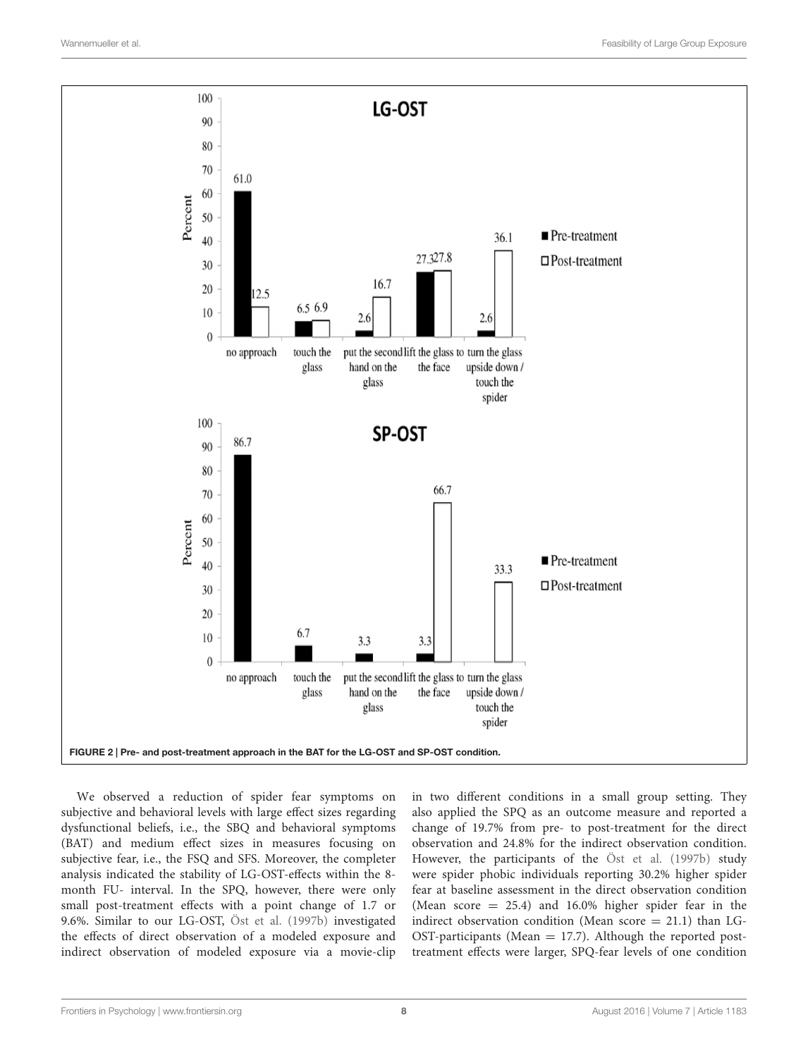

<span id="page-7-0"></span>We observed a reduction of spider fear symptoms on subjective and behavioral levels with large effect sizes regarding dysfunctional beliefs, i.e., the SBQ and behavioral symptoms (BAT) and medium effect sizes in measures focusing on subjective fear, i.e., the FSQ and SFS. Moreover, the completer analysis indicated the stability of LG-OST-effects within the 8 month FU- interval. In the SPQ, however, there were only small post-treatment effects with a point change of 1.7 or 9.6%. Similar to our LG-OST, [Öst et al.](#page-9-12) [\(1997b\)](#page-9-12) investigated the effects of direct observation of a modeled exposure and indirect observation of modeled exposure via a movie-clip

in two different conditions in a small group setting. They also applied the SPQ as an outcome measure and reported a change of 19.7% from pre- to post-treatment for the direct observation and 24.8% for the indirect observation condition. However, the participants of the [Öst et al.](#page-9-12) [\(1997b\)](#page-9-12) study were spider phobic individuals reporting 30.2% higher spider fear at baseline assessment in the direct observation condition (Mean score  $= 25.4$ ) and 16.0% higher spider fear in the indirect observation condition (Mean score  $= 21.1$ ) than LG-OST-participants (Mean  $= 17.7$ ). Although the reported posttreatment effects were larger, SPQ-fear levels of one condition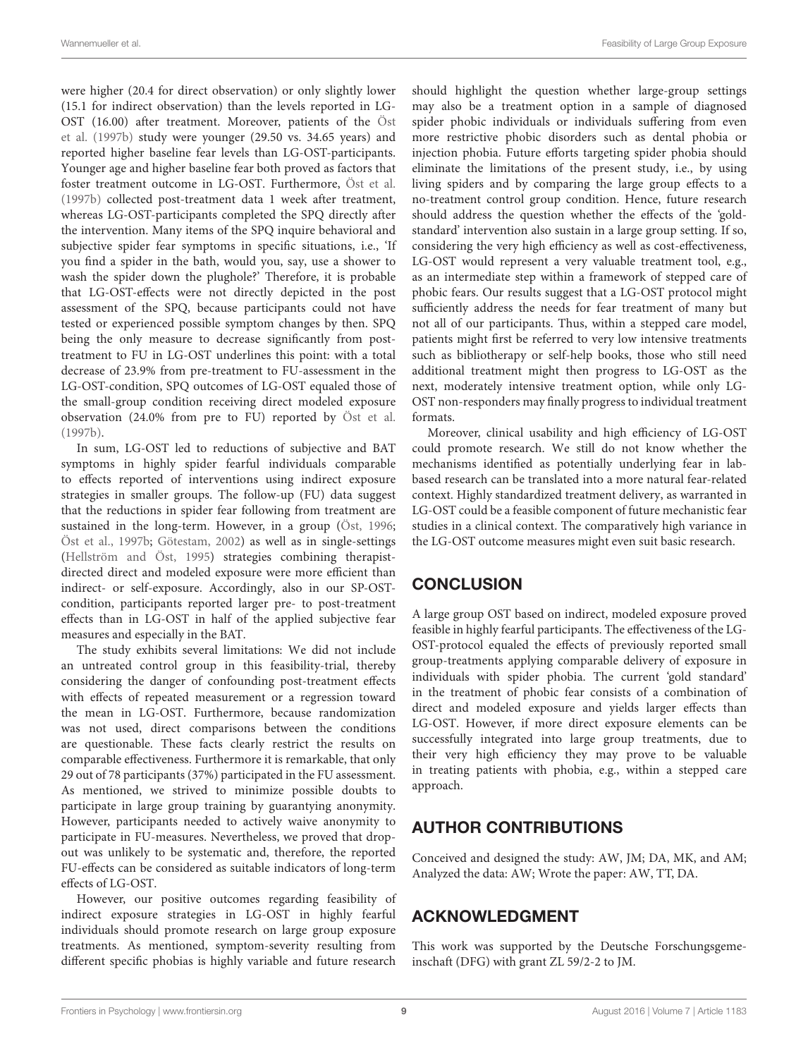were higher (20.4 for direct observation) or only slightly lower (15.1 for indirect observation) than the levels reported in LG-OST (16.00) after treatment. Moreover, patients of the [Öst](#page-9-12) [et al.](#page-9-12) [\(1997b\)](#page-9-12) study were younger (29.50 vs. 34.65 years) and reported higher baseline fear levels than LG-OST-participants. Younger age and higher baseline fear both proved as factors that foster treatment outcome in LG-OST. Furthermore, [Öst et al.](#page-9-12) [\(1997b\)](#page-9-12) collected post-treatment data 1 week after treatment, whereas LG-OST-participants completed the SPQ directly after the intervention. Many items of the SPQ inquire behavioral and subjective spider fear symptoms in specific situations, i.e., 'If you find a spider in the bath, would you, say, use a shower to wash the spider down the plughole?' Therefore, it is probable that LG-OST-effects were not directly depicted in the post assessment of the SPQ, because participants could not have tested or experienced possible symptom changes by then. SPQ being the only measure to decrease significantly from posttreatment to FU in LG-OST underlines this point: with a total decrease of 23.9% from pre-treatment to FU-assessment in the LG-OST-condition, SPQ outcomes of LG-OST equaled those of the small-group condition receiving direct modeled exposure observation (24.0% from pre to FU) reported by [Öst et al.](#page-9-12) [\(1997b\)](#page-9-12).

In sum, LG-OST led to reductions of subjective and BAT symptoms in highly spider fearful individuals comparable to effects reported of interventions using indirect exposure strategies in smaller groups. The follow-up (FU) data suggest that the reductions in spider fear following from treatment are sustained in the long-term. However, in a group [\(Öst,](#page-9-14) [1996;](#page-9-14) [Öst et al.,](#page-9-12) [1997b;](#page-9-12) [Götestam,](#page-9-13) [2002\)](#page-9-13) as well as in single-settings [\(Hellström and Öst,](#page-9-7) [1995\)](#page-9-7) strategies combining therapistdirected direct and modeled exposure were more efficient than indirect- or self-exposure. Accordingly, also in our SP-OSTcondition, participants reported larger pre- to post-treatment effects than in LG-OST in half of the applied subjective fear measures and especially in the BAT.

The study exhibits several limitations: We did not include an untreated control group in this feasibility-trial, thereby considering the danger of confounding post-treatment effects with effects of repeated measurement or a regression toward the mean in LG-OST. Furthermore, because randomization was not used, direct comparisons between the conditions are questionable. These facts clearly restrict the results on comparable effectiveness. Furthermore it is remarkable, that only 29 out of 78 participants (37%) participated in the FU assessment. As mentioned, we strived to minimize possible doubts to participate in large group training by guarantying anonymity. However, participants needed to actively waive anonymity to participate in FU-measures. Nevertheless, we proved that dropout was unlikely to be systematic and, therefore, the reported FU-effects can be considered as suitable indicators of long-term effects of LG-OST.

However, our positive outcomes regarding feasibility of indirect exposure strategies in LG-OST in highly fearful individuals should promote research on large group exposure treatments. As mentioned, symptom-severity resulting from different specific phobias is highly variable and future research

should highlight the question whether large-group settings may also be a treatment option in a sample of diagnosed spider phobic individuals or individuals suffering from even more restrictive phobic disorders such as dental phobia or injection phobia. Future efforts targeting spider phobia should eliminate the limitations of the present study, i.e., by using living spiders and by comparing the large group effects to a no-treatment control group condition. Hence, future research should address the question whether the effects of the 'goldstandard' intervention also sustain in a large group setting. If so, considering the very high efficiency as well as cost-effectiveness, LG-OST would represent a very valuable treatment tool, e.g., as an intermediate step within a framework of stepped care of phobic fears. Our results suggest that a LG-OST protocol might sufficiently address the needs for fear treatment of many but not all of our participants. Thus, within a stepped care model, patients might first be referred to very low intensive treatments such as bibliotherapy or self-help books, those who still need additional treatment might then progress to LG-OST as the next, moderately intensive treatment option, while only LG-OST non-responders may finally progress to individual treatment formats.

Moreover, clinical usability and high efficiency of LG-OST could promote research. We still do not know whether the mechanisms identified as potentially underlying fear in labbased research can be translated into a more natural fear-related context. Highly standardized treatment delivery, as warranted in LG-OST could be a feasible component of future mechanistic fear studies in a clinical context. The comparatively high variance in the LG-OST outcome measures might even suit basic research.

### **CONCLUSION**

A large group OST based on indirect, modeled exposure proved feasible in highly fearful participants. The effectiveness of the LG-OST-protocol equaled the effects of previously reported small group-treatments applying comparable delivery of exposure in individuals with spider phobia. The current 'gold standard' in the treatment of phobic fear consists of a combination of direct and modeled exposure and yields larger effects than LG-OST. However, if more direct exposure elements can be successfully integrated into large group treatments, due to their very high efficiency they may prove to be valuable in treating patients with phobia, e.g., within a stepped care approach.

### AUTHOR CONTRIBUTIONS

Conceived and designed the study: AW, JM; DA, MK, and AM; Analyzed the data: AW; Wrote the paper: AW, TT, DA.

### ACKNOWLEDGMENT

This work was supported by the Deutsche Forschungsgemeinschaft (DFG) with grant ZL 59/2-2 to JM.